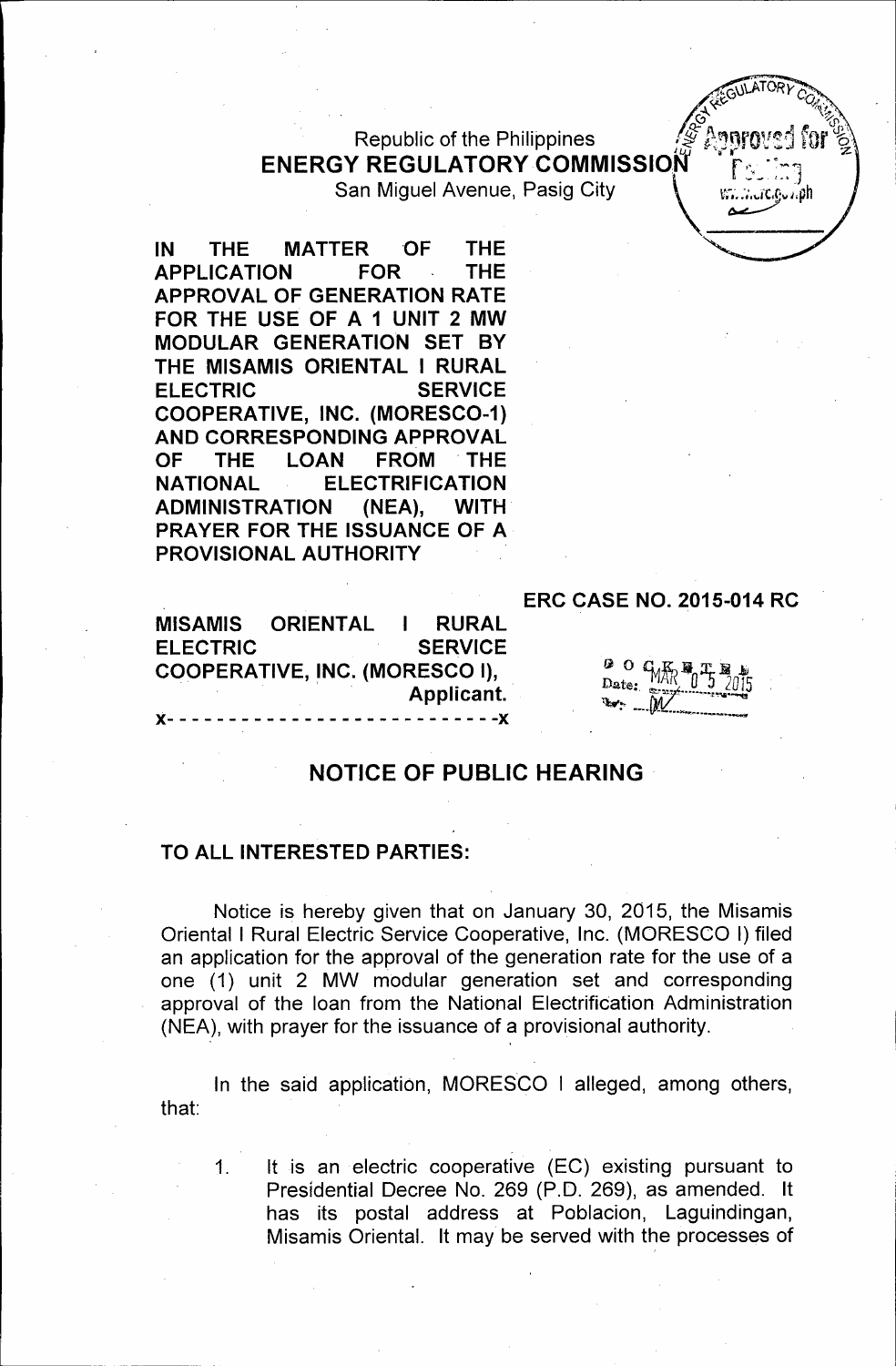Republic of the Philippines **ENERGY REGULATORY COMMISSION** San Miguel Avenue, Pasig City  $\mathcal{N} = \{ \mathcal{N}, \mathcal{N} \}$ 



IN THE MATTER OF THE APPLICATION FOR THE APPROVAL OF GENERATION RATE FOR THE USE OF A 1 UNIT 2 MW MODULAR GENERATION SET BY THE MISAMIS ORIENTAL I RURAL ELECTRIC SERVICE COOPERATIVE, INC. (MORESC0-1) AND CORRESPONDING APPROVAL OF THE LOAN FROM THE NATIONAL ELECTRIFICATION ADMINISTRATION (NEA), WITH PRAYER FOR THE ISSUANCE OF A PROVISIONAL AUTHORITY

### ERC CASE NO. 2015-014 RC

MISAMIS ORIENTAL RURAL ELECTRIC SERVICE COOPERATIVE, INC. (MORESCO I),<br>.Applicant }(- - -- - ----------------------}(

| ĿВ    | n |                                      |  |  |
|-------|---|--------------------------------------|--|--|
| Date: |   | $-M\bar{R}$ , $T_0$ $T_5$ $N\bar{R}$ |  |  |
| on.   |   | <b>INV</b>                           |  |  |

# NOTICE OF PUBLIC HEARING

### TO ALL INTERESTED PARTIES:

' '

Notice is hereby given that on January 30, 2015, the Misamis Oriental I Rural Electric Service Cooperative, Inc. (MORESCO I) filed an application for the approval of the generation rate for the use of a one (1) unit 2 MW modular generation set and corresponding approval of the loan from the National Electrification Administration (NEA), with prayer for the issuance of a provisional authority.

that: In the said application, MORESCO I alleged, among others,

1. It is an electric cooperative (EC) existing pursuant to Presidential Decree No. 269 (P.O. 269), as amended. It has its postal address at Poblacion, Laguindingan, Misamis Oriental. It may be served with the processes of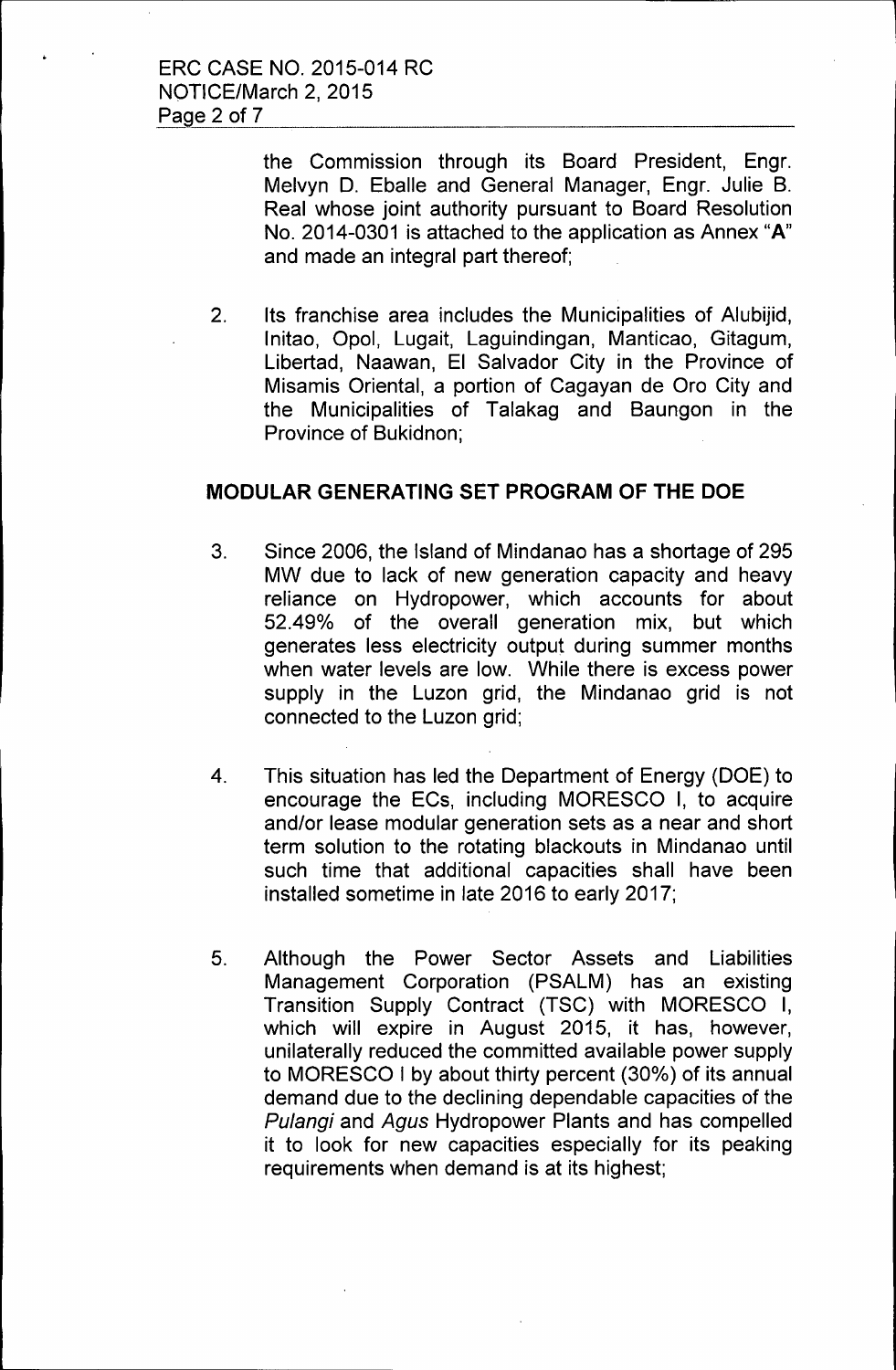the Commission through its Board President, Engr. Melvyn D. Eballe and General Manager, Engr. Julie B. Real whose joint authority pursuant to Board Resolution No. 2014-0301 is attached to the application as Annex **"A"**  and made an integral part thereof;

l

2. Its franchise area includes the Municipalities of Alubijid, lnitao, Opal, Lugait, Laguindingan, Manticao, Gitagum, Libertad, Naawan, El Salvador City in the Province of Misamis Oriental, a portion of Cagayan de Oro City and the Municipalities of Talakag and Baungon in the Province of Bukidnon;

### **MODULAR GENERATING SET PROGRAM OF THE DOE**

- 3. Since 2006, the Island of Mindanao has a shortage of 295 MW due to lack of new generation capacity and heavy reliance on Hydropower, which accounts for about 52.49% of the overall generation mix, but which generates less electricity output during summer months when water levels are low. While there is excess power supply in the Luzon grid, the Mindanao grid is not connected to the Luzon grid;
- 4. This situation has led the Department of Energy (DOE) to encourage the ECs, including MORESCO I, to acquire and/or lease modular generation sets as a near and short term solution to the rotating blackouts in Mindanao until such time that additional capacities shall have been installed sometime in late 2016 to early 2017;
- 5. Although the Power Sector Assets and Liabilities Management Corporation (PSALM) has an existing Transition Supply Contract (TSC) with MORESCO I, which will expire in August 2015, it has, however, unilaterally reduced the committed available power supply to MORESCO I by about thirty percent (30%) of its annual demand due to the declining dependable capacities of the Pulangi and Agus Hydropower Plants and has compelled it to look for new capacities especially for its peaking requirements when demand is at its highest;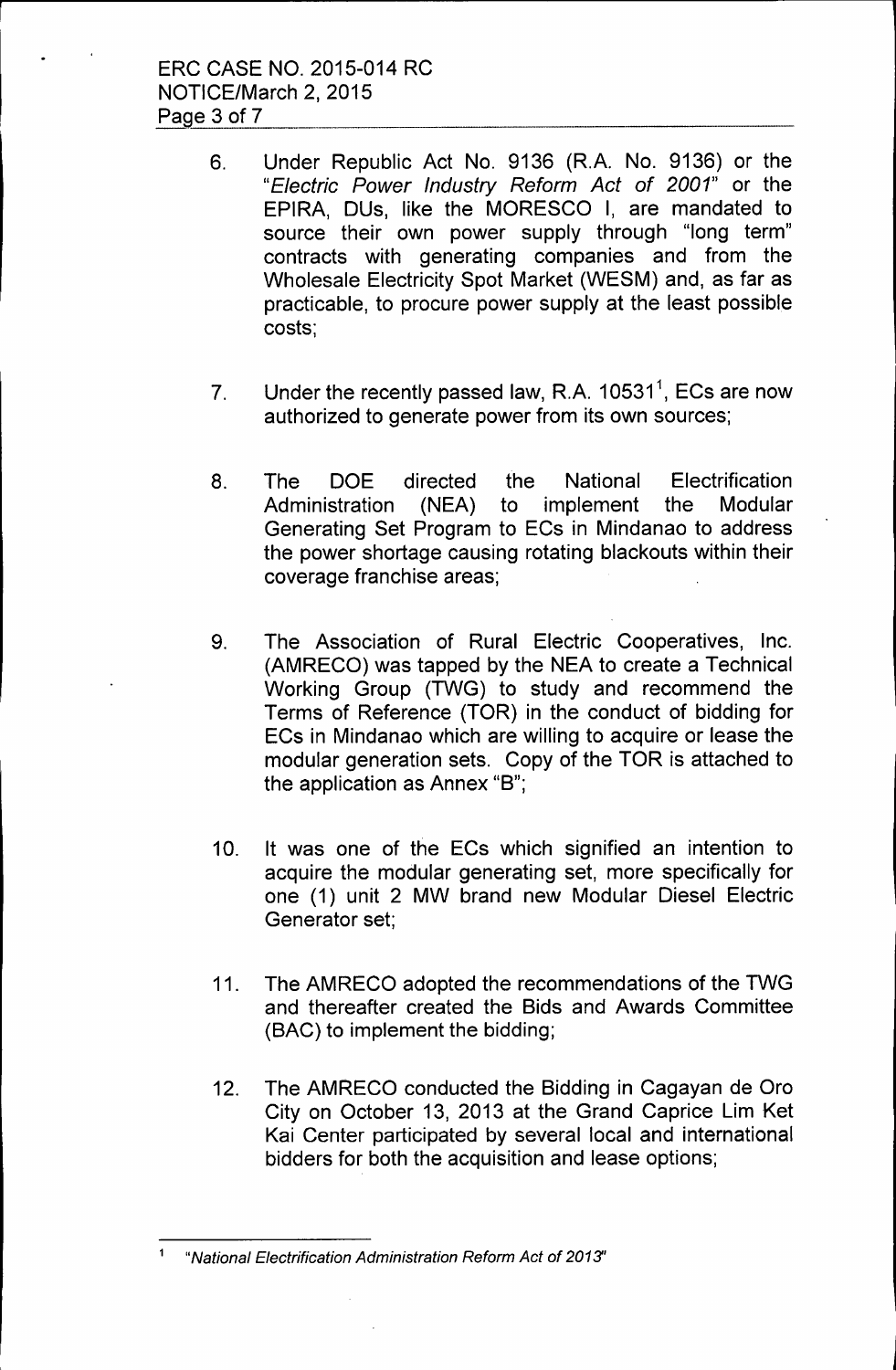- 6. Under Republic Act No. 9136 (R.A. No. 9136) or the "Electric Power Industry Reform Act of 2001" or the EPIRA, DUs, like the MORESCO I, are mandated to source their own power supply through "long term" contracts with generating companies and from the Wholesale Electricity Spot Market (WESM) and, as far as practicable, to procure power supply at the least possible costs;
- 7. Under the recently passed law, R.A.  $10531<sup>1</sup>$ , ECs are now authorized to generate power from its own sources;
- 8. The DOE directed the National Electrification Administration (NEA) to implement the Modular Generating Set Program to ECs in Mindanao to address the power shortage causing rotating blackouts within their coverage franchise areas;
- 9. The Association of Rural Electric Cooperatives, Inc. (AMRECO) was tapped by the NEA to create a Technical Working Group (TWG) to study and recommend the Terms of Reference (TOR) in the conduct of bidding for ECs in Mindanao which are willing to acquire or lease the modular generation sets. Copy of the TOR is attached to the application as Annex "B";
- 10. It was one of the ECs which signified an intention to acquire the modular generating set, more specifically for one (1) unit 2 MW brand new Modular Diesel Electric Generator set;
- 11. The AMRECO adopted the recommendations of the TWG and thereafter created the Bids and Awards Committee (BAC) to implement the bidding;
- 12. The AMRECO conducted the Bidding in Cagayan de Oro City on October 13, 2013 at the Grand Caprice Lim Ket Kai Center participated by several local and international bidders for both the acquisition and lease options;

<sup>1</sup> "National Electrification Administration Reform Act of 2013'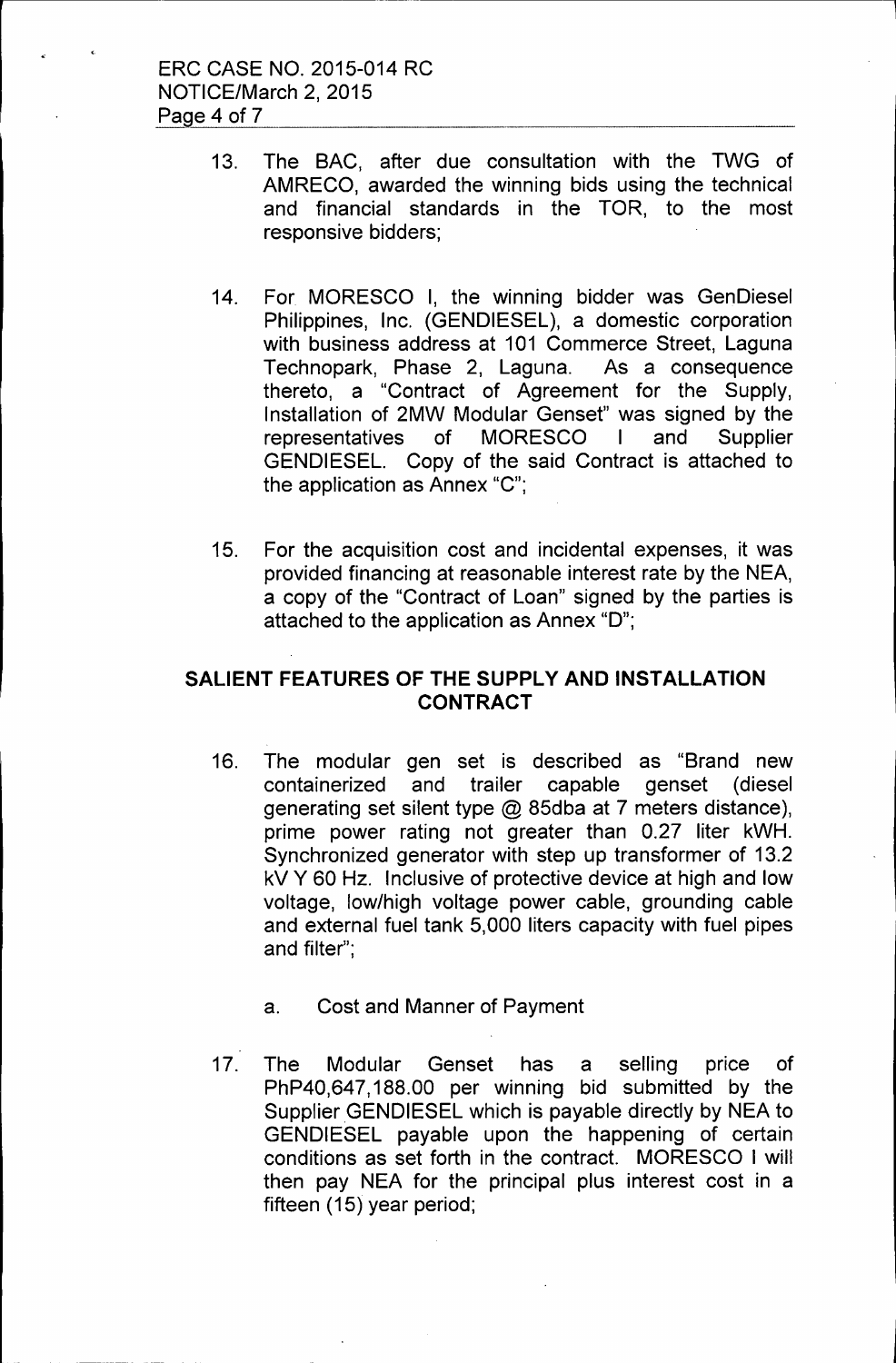- 13. The SAC, after due consultation with the TWG of AMRECO, awarded the winning bids using the technical and financial standards in the TOR, to the most responsive bidders;
- 14. For MORESCO I, the winning bidder was GenDiesel Philippines, Inc. (GENDIESEL), a domestic corporation with business address at 101 Commerce Street, Laguna Technopark, Phase 2, Laguna. As a consequence thereto, a "Contract of Agreement for the Supply, Installation of 2MW Modular Genset" was signed by the representatives of MORESCO I and Supplier GENDIESEL. Copy of the said Contract is attached to the application as Annex "C";
- 15. For the acquisition cost and incidental expenses, it was provided financing at reasonable interest rate by the NEA, a copy of the "Contract of Loan" signed by the parties is attached to the application as Annex "D";

## **SALIENT FEATURES OF THE SUPPLY AND INSTALLATION CONTRACT**

- 16. The modular gen set is described as "Brand new containerized and trailer capable genset (diesel generating set silent type@ 85dba at 7 meters distance), prime power rating not greater than 0.27 liter kWH. Synchronized generator with step up transformer of 13.2 kV Y 60 Hz. Inclusive of protective device at high and low voltage, low/high voltage power cable, grounding cable and external fuel tank 5,000 liters capacity with fuel pipes and filter";
	- a. Cost and Manner of Payment
- 17. The Modular Genset has a selling price of PhP40,647, 188.00 per winning bid submitted by the Supplier GENDIESEL which is payable directly by NEA to GENDIESEL payable upon the happening of certain conditions as set forth in the contract. MORESCO I will then pay NEA for the principal plus interest cost in a fifteen  $(15)$  year period;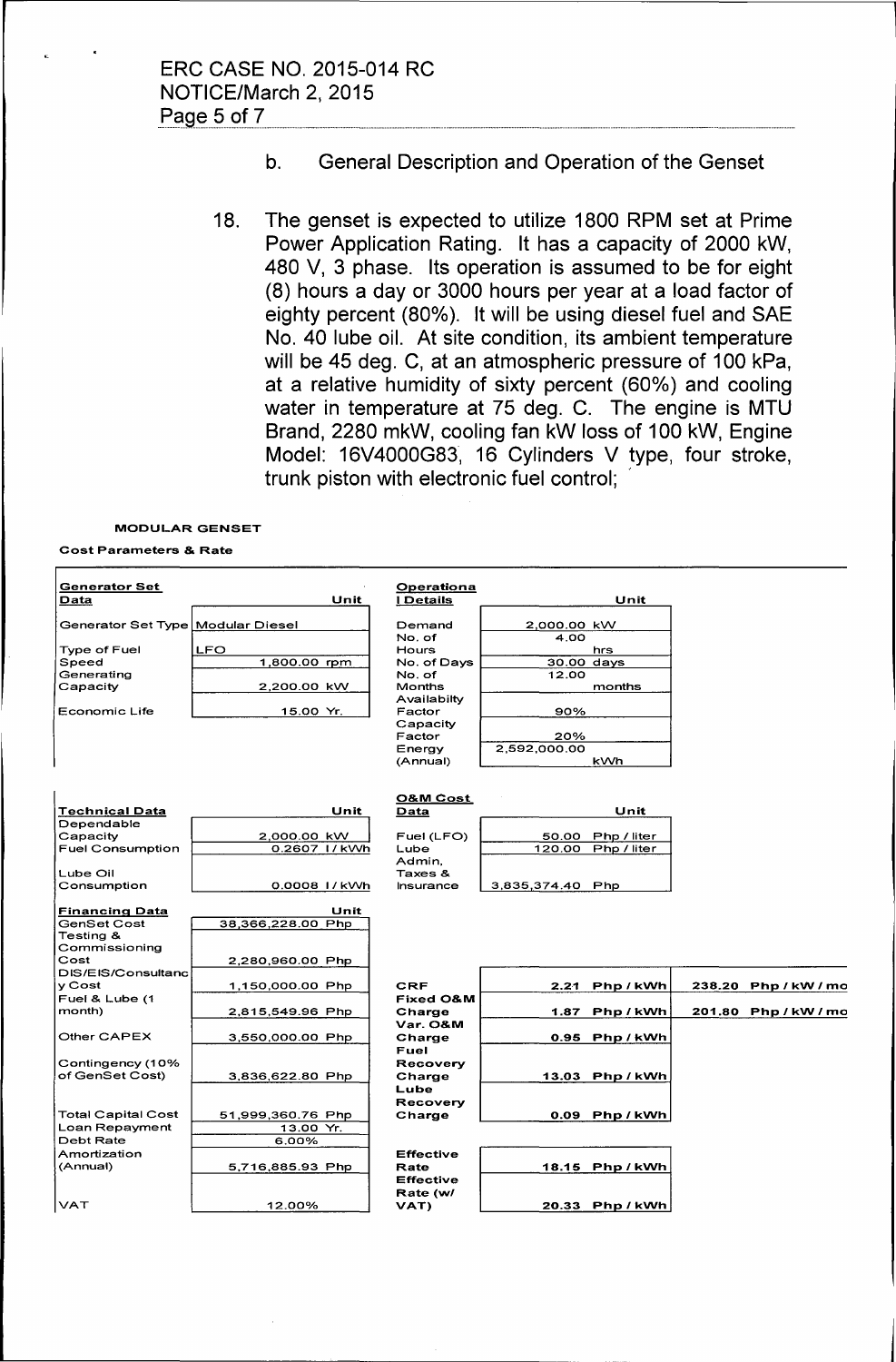## b. General Description and Operation of the Genset

18. The genset is expected to utilize 1800 RPM set at Prime Power Application Rating. It has a capacity of 2000 kW, 480 V, 3 phase. Its operation is assumed to be for eight (8) hours a day or 3000 hours per year at a load factor of eighty percent (80%). It will be using diesel fuel and SAE No. 40 lube oil. At site condition, its ambient temperature will be 45 deg. C, at an atmospheric pressure of 100 kPa, at a relative humidity of sixty percent (60%) and cooling water in temperature at 75 deg. C. The engine is MTU Brand, 2280 mkW, cooling fan kW loss of 100 kW, Engine Model: 16V4000G83, 16 Cylinders V type, four stroke, trunk piston with electronic fuel control; ,

#### MODULAR GENSET

#### Cost Parameters & Rate

| <b>Generator Set</b><br>Data      | Unit                  | Operationa<br><b>I</b> Details | Unit                 |                      |
|-----------------------------------|-----------------------|--------------------------------|----------------------|----------------------|
| Generator Set Type Modular Diesel |                       | Demand                         | 2,000.00 kW          |                      |
|                                   |                       | No. of                         | 4.00                 |                      |
| Type of Fuel                      | <b>LFO</b>            | Hours                          | hrs                  |                      |
| Speed                             | 1,800.00 rpm          | No. of Days                    | 30.00 days           |                      |
| Generating                        |                       | No. of                         | 12.00                |                      |
| Capacity                          | 2,200.00 kW           | <b>Months</b>                  | months               |                      |
|                                   |                       | Availabilty                    |                      |                      |
| Economic Life                     | 15.00 Yr.             | Factor                         | 90%                  |                      |
|                                   |                       | Capacity                       |                      |                      |
|                                   |                       | Factor                         | 20%                  |                      |
|                                   |                       | Energy                         | 2,592,000.00         |                      |
|                                   |                       | (Annual)                       | <b>kWh</b>           |                      |
|                                   |                       |                                |                      |                      |
|                                   |                       | O&M Cost                       |                      |                      |
| Technical Data                    | Unit                  | Data                           | Unit                 |                      |
| Dependable                        |                       |                                |                      |                      |
| Capacity                          | 2,000.00 kW           | Fuel (LFO)                     | Php / liter<br>50.00 |                      |
| <b>Fuel Consumption</b>           | 0.2607 I <i>I</i> kWh | Lube                           | 120.00 Php / liter   |                      |
|                                   |                       | Admin,                         |                      |                      |
| Lube Oil                          |                       | Taxes &                        |                      |                      |
| Consumption                       | 0.0008 1/kWh          | Insurance                      | 3,835,374.40 Php     |                      |
|                                   |                       |                                |                      |                      |
| <u>Financing Data</u>             | Unit                  |                                |                      |                      |
| <b>GenSet Cost</b><br>Testina &   | 38,366,228.00 Php     |                                |                      |                      |
| Commissioning                     |                       |                                |                      |                      |
| Cost                              | 2,280,960.00 Php      |                                |                      |                      |
| DIS/EIS/Consultanc                |                       |                                |                      |                      |
| y Cost                            | 1,150,000.00 Php      | <b>CRF</b>                     | 2.21<br>Php/kWh      | 238.20 Php / kW / mo |
| Fuel & Lube (1                    |                       | Fixed O&M                      |                      |                      |
| month)                            | 2,815,549.96 Php      | Charge                         | 1.87<br>Php/kWh      | 201.80 Php/kW/mo     |
|                                   |                       | Var. O&M                       |                      |                      |
| Other CAPEX                       | 3,550,000.00 Php      | Charge                         | 0.95 Php/kWh         |                      |
|                                   |                       | Fuel                           |                      |                      |
| Contingency (10%                  |                       | Recovery                       |                      |                      |
| of GenSet Cost)                   | 3,836,622.80 Php      | Charge                         | 13.03 Php/kWh        |                      |
|                                   |                       | Lube                           |                      |                      |
|                                   |                       | Recovery                       |                      |                      |
| Total Capital Cost                | 51,999,360.76 Php     | Charge                         | 0.09 Php/kWh         |                      |
| Loan Repayment                    | 13.00 Yr.             |                                |                      |                      |
| Debt Rate                         | 6.00%                 |                                |                      |                      |
| Amortization                      |                       | <b>Effective</b>               |                      |                      |
| (Annual)                          | 5,716,885.93 Php      | Rate                           | 18.15 Php/kWh        |                      |
|                                   |                       | <b>Effective</b>               |                      |                      |
|                                   |                       | Rate (w/                       |                      |                      |
| <b>VAT</b>                        | 12.00%                | VAT)                           | 20.33 Php/kWh        |                      |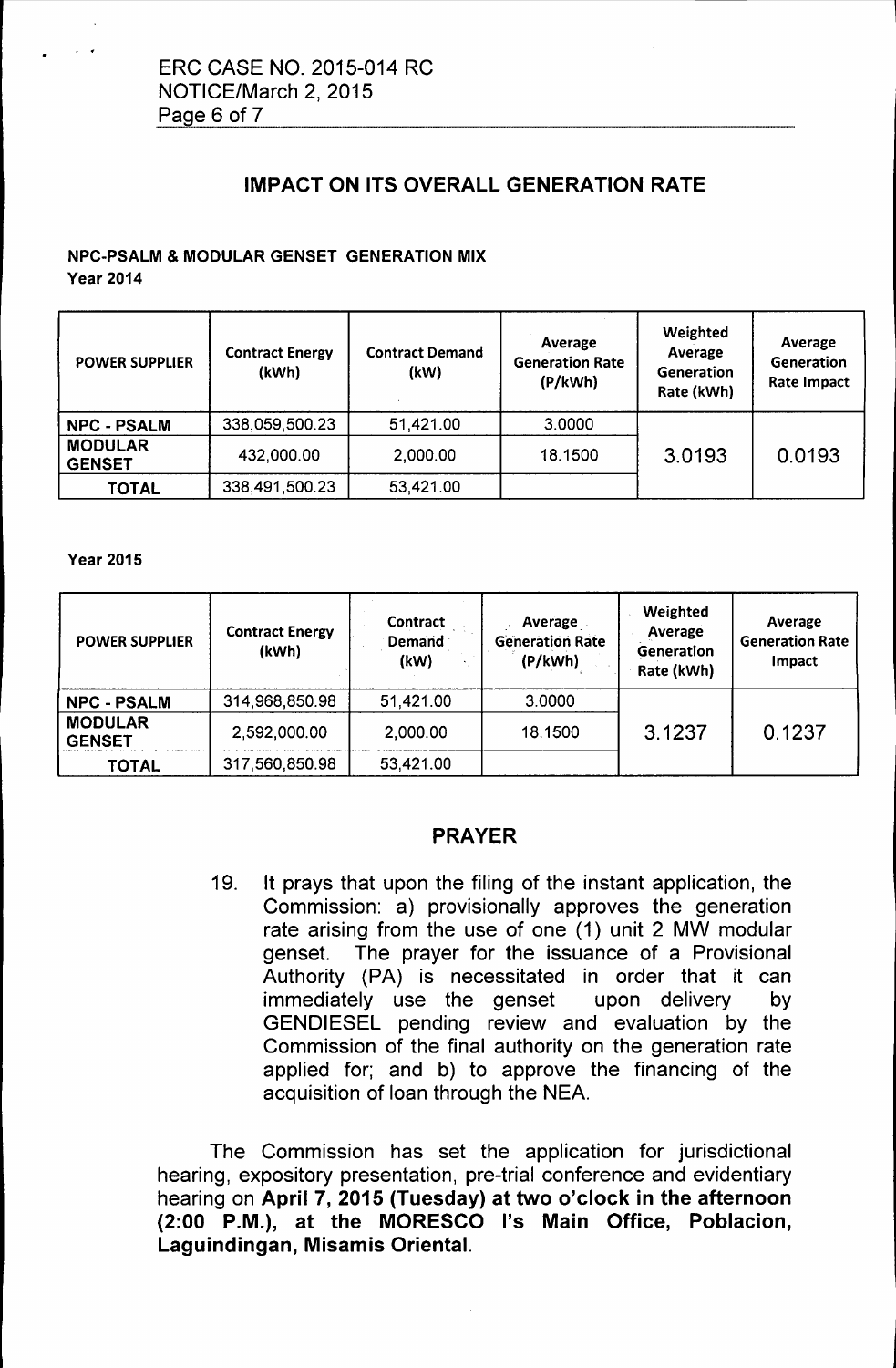# IMPACT ON ITS OVERALL GENERATION RATE

## NPC-PSALM & MODULAR GENSET GENERATION MIX

Year 2014

| <b>POWER SUPPLIER</b>           | <b>Contract Energy</b><br>(kWh) | <b>Contract Demand</b><br>(kW) | Average<br><b>Generation Rate</b><br>(P/kWh) | Weighted<br>Average<br><b>Generation</b><br>Rate (kWh) | Average<br>Generation<br><b>Rate Impact</b> |
|---------------------------------|---------------------------------|--------------------------------|----------------------------------------------|--------------------------------------------------------|---------------------------------------------|
| <b>NPC - PSALM</b>              | 338,059,500.23                  | 51,421.00                      | 3.0000                                       |                                                        |                                             |
| <b>MODULAR</b><br><b>GENSET</b> | 432,000.00                      | 2,000.00                       | 18.1500                                      | 3.0193                                                 | 0.0193                                      |
| <b>TOTAL</b>                    | 338,491,500.23                  | 53,421.00                      |                                              |                                                        |                                             |

Year 2015

| <b>POWER SUPPLIER</b>           | <b>Contract Energy</b><br>(kWh) | Contract<br><b>Demand</b><br>(kW) | Average<br><b>Generation Rate</b><br>(P/kWh) | Weighted<br>Average<br>Generation<br>Rate (kWh) | Average<br><b>Generation Rate</b><br>Impact |
|---------------------------------|---------------------------------|-----------------------------------|----------------------------------------------|-------------------------------------------------|---------------------------------------------|
| <b>NPC - PSALM</b>              | 314,968,850.98                  | 51,421.00                         | 3.0000                                       |                                                 |                                             |
| <b>MODULAR</b><br><b>GENSET</b> | 2,592,000.00                    | 2,000.00                          | 18.1500                                      | 3.1237                                          | 0.1237                                      |
| <b>TOTAL</b>                    | 317,560,850.98                  | 53,421.00                         |                                              |                                                 |                                             |

### PRAYER

19. It prays that upon the filing of the instant application, the Commission: a) provisionally approves the generation rate arising from the use of one (1) unit 2 MW modular genset. The prayer for the issuance of a Provisional Authority (PA) is necessitated in order that it can immediately use the genset upon delivery by GENDIESEL pending review and evaluation by the Commission of the final authority on the generation rate applied for; and b) to approve the financing of the acquisition of loan through the NEA.

The Commission has set the application for jurisdictional hearing, expository presentation, pre-trial conference and evidentiary hearing on April 7, 2015 (Tuesday) at two o'clock in the afternoon (2:00 P.M.), at the MORESCO l's Main Office, Poblacion, Laguindingan, Misamis Oriental.

L\_\_\_\_\_ \_\_\_\_\_\_\_\_\_\_\_\_\_\_\_\_\_\_\_\_\_\_\_ -------